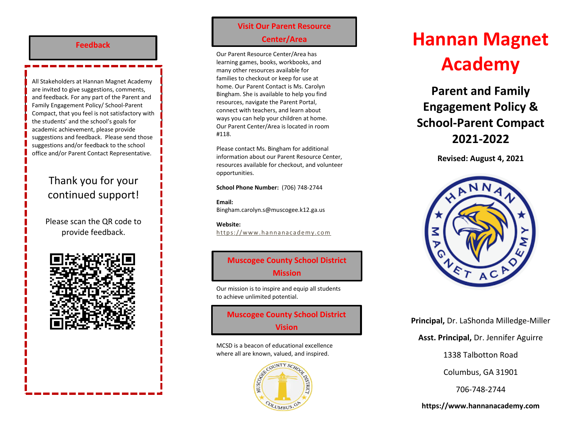#### **Feedback**

All Stakenolders at Hannan Magnet Academ<br>are invited to give suggestions, comments, and feedback. For any part of the Parent and **Compact developed and revised?** Compact, that you feel is not satisfactory with All Stakeholders at Hannan Magnet Academy Family Engagement Policy/ School-Parent the students' and the school's goals for academic achievement, please provide suggestions and feedback. Please send those suggestions and/or feedback to the school office and/or Parent Contact Representative.

# Thank you for your continued support!

Please scan the QR code to provide feedback.



## **Visit Our Parent Resource Center/Area**

Our Parent Resource Center/Area has learning games, books, workbooks, and many other resources available for families to checkout or keep for use at home. Our Parent Contact is Ms. Carolyn Bingham. She is available to help you find resources, navigate the Parent Portal, connect with teachers, and learn about ways you can help your children at home. Our Parent Center/Area is located in room #118.

Please contact Ms. Bingham for additional information about our Parent Resource Center, resources available for checkout, and volunteer opportunities.

**School Phone Number:** (706) 748-2744

**Email:** Bingham.carolyn.s@muscogee.k12.ga.us

**Website:**  https://www.hannanacademy.com

# **Muscogee County School District Mission**

Our mission is to inspire and equip all students to achieve unlimited potential.

**Muscogee County School District Vision**

MCSD is a beacon of educational excellence where all are known, valued, and inspired.



# **Hannan Magnet Academy**

**Parent and Family Engagement Policy & School-Parent Compact 2021-2022**

**Revised: August 4, 2021**



**Principal,** Dr. LaShonda Milledge-Miller

**Asst. Principal,** Dr. Jennifer Aguirre

1338 Talbotton Road

Columbus, GA 31901

706-748-2744

**https://www.hannanacademy.com**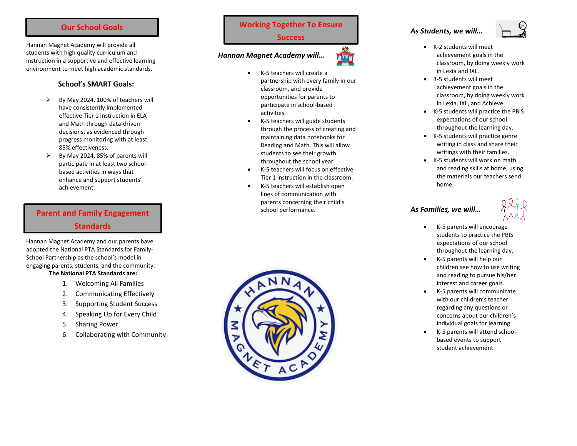#### **Our School Goals**

Hannan Magnet Academy will provide all students with high quality curriculum and instruction in a supportive and effective learning environment to meet high academic standards.

#### **School's SMART Goals:**

- $\triangleright$  By May 2024, 100% of teachers will have consistently implemented effective Tier 1 instruction in ELA and Math through data -driven decisions, as evidenced through progress monitoring with at least 85% effectiveness.
- $\triangleright$  By May 2024, 85% of parents will participate in at least two school based activities in ways that enhance and support students' achievement.

# **Parent and Family Engagement Standards**

Hannan Magnet Academy and our parents have adopted the National PTA Standards for Family - School Partnership as the school's model in engaging parents, students, and the community.

#### **The National PTA Standards are:**

- 1. Welcoming All Families
- 2. Communicating Effectively
- 3. Supporting Student Success
- 4. Speaking Up for Every Child
- 5. Sharing Power
- 6. Collaborating with Community

# **Working Together To Ensure**

#### **Success**

#### *Hannan Magnet Academy will…*



- K-5 teachers will create a partnership with every family in our classroom , and provide opportunities for parents to participate in school -based activities .
- $\bullet$ K -5 teachers will guide students through the process of creating and maintaining data notebooks for Reading and Math. This will allow students to see their growth throughout the school year.
- $\bullet$ K - 5 teachers will focus on effective Tier 1 instruction in the classroom.
- $\bullet$ K -5 teachers will establish open lines of communication with parents concerning their child's school performance .



#### *As Students, we will…*



- K-2 students will meet achievement goals in the classroom, by doing weekly work in Lexia and IXL.
- 3 5 students will meet achievement goals in the classroom, by doing weekly work in Lexia, IXL, and Achieve.
- $\bullet$ K - 5 students will practice the PBIS expectations of our school throughout the learning day.
- K 5 students will practice genre writing in class and share their writings with their families.
- $\bullet$ K - 5 students will work on math and reading skills at home, using the materials our teachers send home.

## *As Families, we will…*



- K-5 parents will encourage students to practice the PBIS expectations of our school throughout the learning day.
- $\bullet$ K - 5 parents will help our children see how to use writing and reading to pursue his/her interest and career goals.
- $\bullet$ K - 5 parents will communicate with our children's teacher regarding any questions or concerns about our children's individual goals for learning.
- $\bullet$ K -5 parents will attend school based events to support student achievement.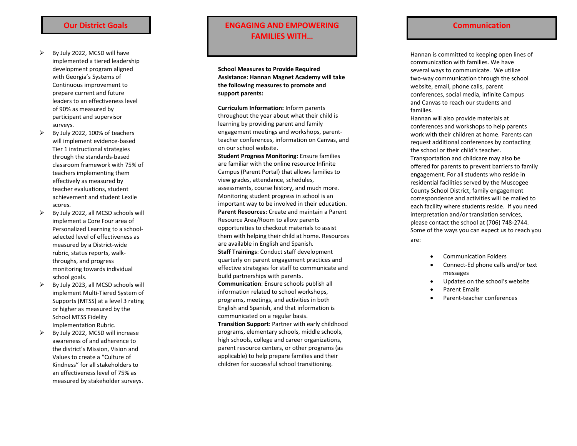- $\triangleright$  By July 2022, MCSD will have implemented a tiered leadership development program aligned with Georgia's Systems of Continuous improvement to prepare current and future leaders to an effectiveness level of 90% as measured by participant and supervisor surveys.
- $\triangleright$  By July 2022, 100% of teachers will implement evidence -based Tier 1 instructional strategies through the standards - based classroom framework with 75% of teachers implementing them effectively as measured by teacher evaluations, student achievement and student Lexile scores.
- $\triangleright$  By July 2022, all MCSD schools will implement a Core Four area of Personalized Learning to a school selected level of effectiveness as measured by a District -wide rubric, status reports, walk throughs, and progress monitoring towards individual school goals.
- $\triangleright$  By July 2023, all MCSD schools will implement Multi -Tiered System of Supports (MTSS) at a level 3 rating or higher as measured by the School MTSS Fidelity Implementation Rubric.
- $\triangleright$  By July 2022, MCSD will increase awareness of and adherence to the district's Mission, Vision and Values to create a "Culture of Kindness" for all stakeholders to an effectiveness level of 75% as measured by stakeholder surveys.

## **Our District Goals ENGAGING AND EMPOWERING Communication FAMILIES WITH…**

**School Measures to Provide Required Assistance: Hannan Magnet Academy will take the following measures to promote and support parents:**

**Curriculum Information:** Inform parents throughout the year about what their child is learning by providing parent and family engagement meetings and workshops, parent teacher conferences, information on Canvas, and on our school website.

**Student Progress Monitoring**: Ensure families are familiar with the online resource Infinite Campus (Parent Portal) that allows families to view grades, attendance, schedules, assessment s, course history, and much more. Monitoring student progress in school is an important way to be involved in their education. **Parent Resources:** Create and maintain a Parent Resource Area/Room to allow parents opportunities to checkout materials to assist them with helping their child at home. Resources are available in English and Spanish. **Staff Trainings**: Conduct staff development

quarterly on parent engagement practices and effective strategies for staff to communicate and build partnerships with parents.

**Communication**: Ensure schools publish all information related to school workshops, programs, meetings, and activities in both English and Spanish , and that information is communicated on a regular basis.

**Transition Support**: Partner with early childhood programs, elementary schools, middle schools, high schools, college and career organizations, parent resource centers, or other programs (as applicable) to help prepare families and their children for successful school transitioning.

Hannan is committed to keeping open lines of communication with families. We have several ways to communicate. We utilize two -way communication through the school website, email, phone calls, parent conferences, social media, Infinite Campus and Canvas to reach our students and families.

Hannan will also provide materials at conferences and workshops to help parents work with their children at home. Parents can request additional conferences by contacting the school or their child's teacher.

Transportation and childcare may also be offered for parents to prevent barriers to family engagement. For all students who reside in residential facilities served by the Muscogee County School District, family engagement correspondence and activities will be mailed to each facility where students reside. If you need interpretation and/or translation services, please contact the school at (706) 748 -2744 . Some of the ways you can expect us to reach you are:

- Communication Folders
- Connect-Ed phone calls and/or text messages
- Updates on the school's website
- Parent Emails
- Parent-teacher conferences